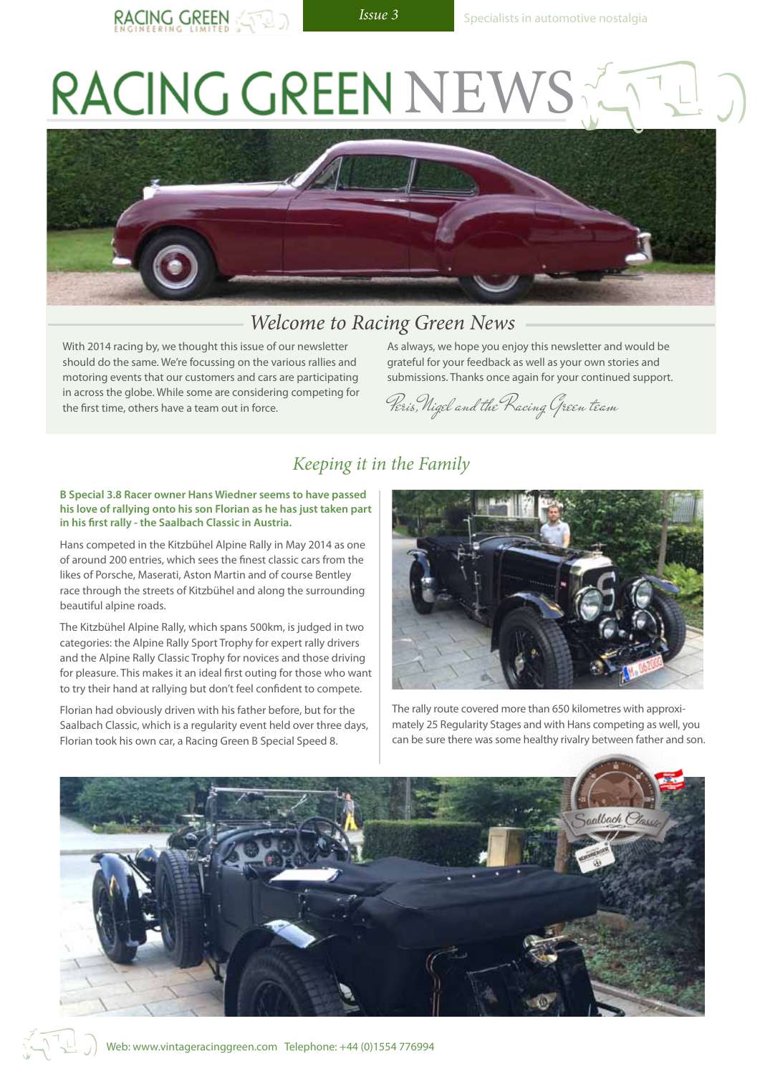RACING GREEN

# RACING GREEN NEV



## *Welcome to Racing Green News*

With 2014 racing by, we thought this issue of our newsletter should do the same. We're focussing on the various rallies and motoring events that our customers and cars are participating in across the globe. While some are considering competing for the first time, others have a team out in force.

As always, we hope you enjoy this newsletter and would be grateful for your feedback as well as your own stories and submissions. Thanks once again for your continued support.

Peris,Nigel and the Racing Green team

#### *Keeping it in the Family*

#### **B Special 3.8 Racer owner Hans Wiedner seems to have passed his love of rallying onto his son Florian as he has just taken part in his first rally - the Saalbach Classic in Austria.**

Hans competed in the Kitzbühel Alpine Rally in May 2014 as one of around 200 entries, which sees the finest classic cars from the likes of Porsche, Maserati, Aston Martin and of course Bentley race through the streets of Kitzbühel and along the surrounding beautiful alpine roads.

The Kitzbühel Alpine Rally, which spans 500km, is judged in two categories: the Alpine Rally Sport Trophy for expert rally drivers and the Alpine Rally Classic Trophy for novices and those driving for pleasure. This makes it an ideal first outing for those who want to try their hand at rallying but don't feel confident to compete.

Florian had obviously driven with his father before, but for the Saalbach Classic, which is a regularity event held over three days, Florian took his own car, a Racing Green B Special Speed 8.



The rally route covered more than 650 kilometres with approximately 25 Regularity Stages and with Hans competing as well, you can be sure there was some healthy rivalry between father and son.

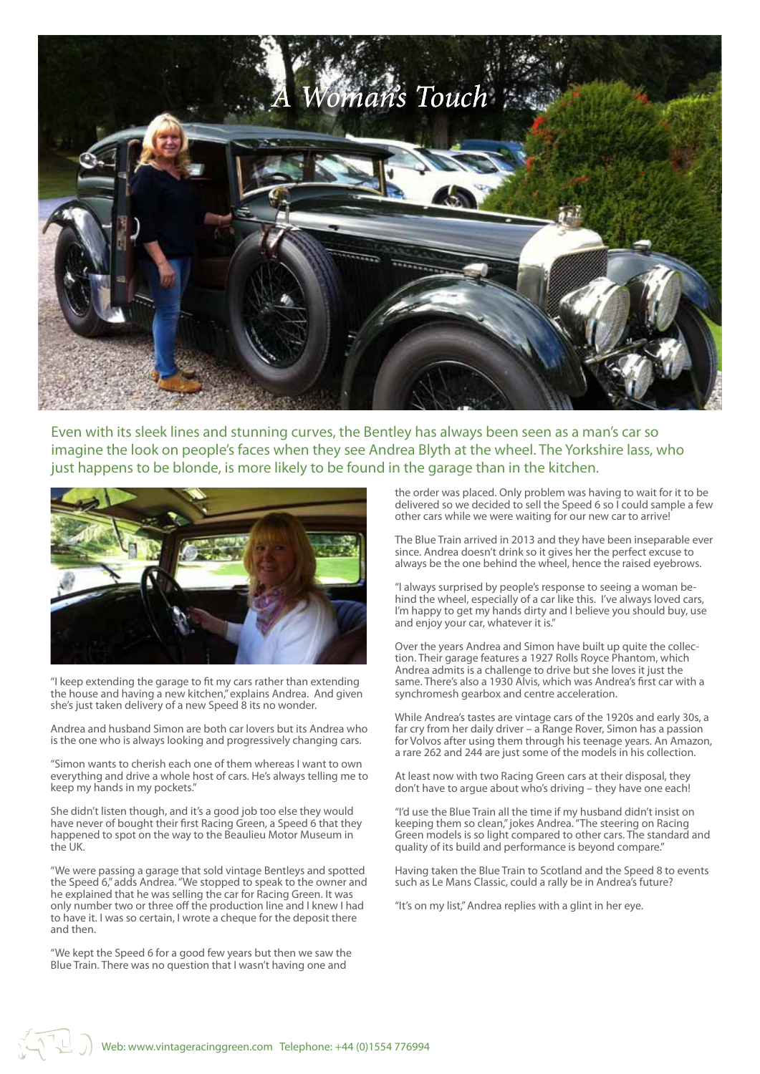

Even with its sleek lines and stunning curves, the Bentley has always been seen as a man's car so imagine the look on people's faces when they see Andrea Blyth at the wheel. The Yorkshire lass, who just happens to be blonde, is more likely to be found in the garage than in the kitchen.



"I keep extending the garage to fit my cars rather than extending the house and having a new kitchen," explains Andrea. And given she's just taken delivery of a new Speed 8 its no wonder.

Andrea and husband Simon are both car lovers but its Andrea who is the one who is always looking and progressively changing cars.

"Simon wants to cherish each one of them whereas I want to own everything and drive a whole host of cars. He's always telling me to keep my hands in my pockets."

She didn't listen though, and it's a good job too else they would have never of bought their first Racing Green, a Speed 6 that they happened to spot on the way to the Beaulieu Motor Museum in the UK.

"We were passing a garage that sold vintage Bentleys and spotted the Speed 6," adds Andrea. "We stopped to speak to the owner and he explained that he was selling the car for Racing Green. It was only number two or three off the production line and I knew I had to have it. I was so certain, I wrote a cheque for the deposit there and then.

"We kept the Speed 6 for a good few years but then we saw the Blue Train. There was no question that I wasn't having one and

the order was placed. Only problem was having to wait for it to be delivered so we decided to sell the Speed 6 so I could sample a few other cars while we were waiting for our new car to arrive!

The Blue Train arrived in 2013 and they have been inseparable ever since. Andrea doesn't drink so it gives her the perfect excuse to always be the one behind the wheel, hence the raised eyebrows.

"I always surprised by people's response to seeing a woman behind the wheel, especially of a car like this. I've always loved cars, I'm happy to get my hands dirty and I believe you should buy, use and enjoy your car, whatever it is."

Over the years Andrea and Simon have built up quite the collection. Their garage features a 1927 Rolls Royce Phantom, which Andrea admits is a challenge to drive but she loves it just the same. There's also a 1930 Alvis, which was Andrea's first car with a synchromesh gearbox and centre acceleration.

While Andrea's tastes are vintage cars of the 1920s and early 30s, a far cry from her daily driver – a Range Rover, Simon has a passion for Volvos after using them through his teenage years. An Amazon, a rare 262 and 244 are just some of the models in his collection.

At least now with two Racing Green cars at their disposal, they don't have to argue about who's driving – they have one each!

"I'd use the Blue Train all the time if my husband didn't insist on keeping them so clean," jokes Andrea. "The steering on Racing Green models is so light compared to other cars. The standard and quality of its build and performance is beyond compare."

Having taken the Blue Train to Scotland and the Speed 8 to events such as Le Mans Classic, could a rally be in Andrea's future?

"It's on my list," Andrea replies with a glint in her eye.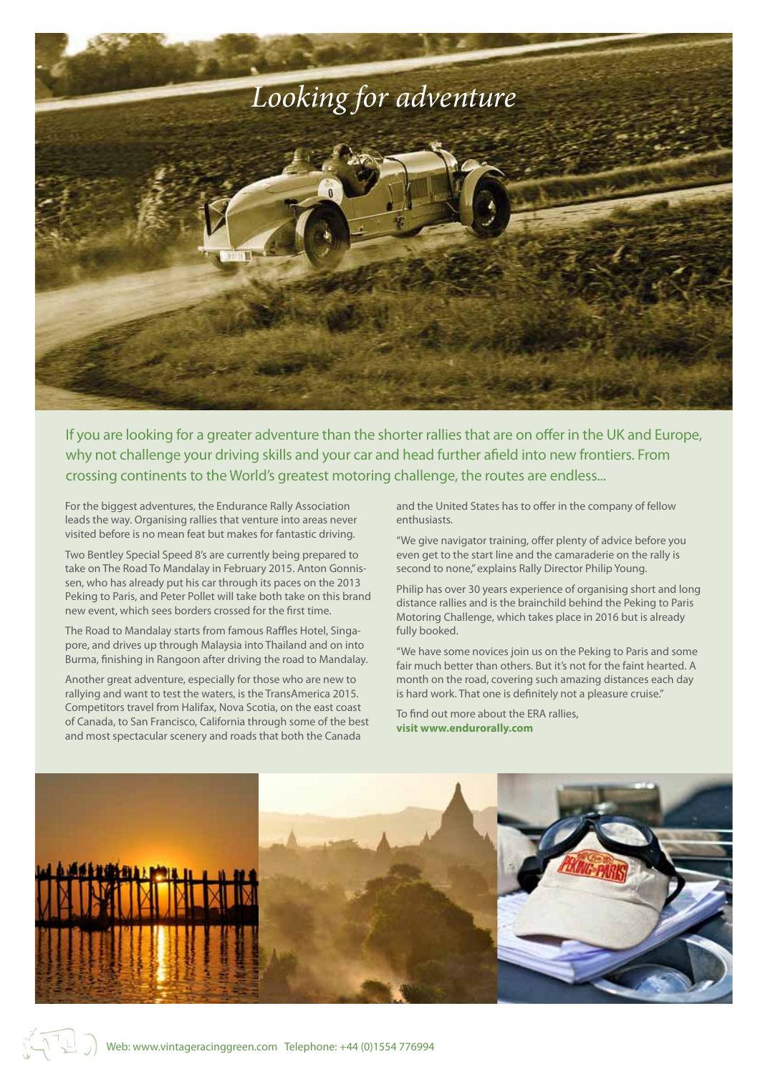

If you are looking for a greater adventure than the shorter rallies that are on offer in the UK and Europe, why not challenge your driving skills and your car and head further afield into new frontiers. From crossing continents to the World's greatest motoring challenge, the routes are endless...

For the biggest adventures, the Endurance Rally Association leads the way. Organising rallies that venture into areas never visited before is no mean feat but makes for fantastic driving.

Two Bentley Special Speed 8's are currently being prepared to take on The Road To Mandalay in February 2015. Anton Gonnissen, who has already put his car through its paces on the 2013 Peking to Paris, and Peter Pollet will take both take on this brand new event, which sees borders crossed for the first time.

The Road to Mandalay starts from famous Raffles Hotel, Singapore, and drives up through Malaysia into Thailand and on into Burma, finishing in Rangoon after driving the road to Mandalay.

Another great adventure, especially for those who are new to rallying and want to test the waters, is the TransAmerica 2015. Competitors travel from Halifax, Nova Scotia, on the east coast of Canada, to San Francisco, California through some of the best and most spectacular scenery and roads that both the Canada

and the United States has to offer in the company of fellow enthusiasts.

"We give navigator training, offer plenty of advice before you even get to the start line and the camaraderie on the rally is second to none," explains Rally Director Philip Young.

Philip has over 30 years experience of organising short and long distance rallies and is the brainchild behind the Peking to Paris Motoring Challenge, which takes place in 2016 but is already fully booked.

"We have some novices join us on the Peking to Paris and some fair much better than others. But it's not for the faint hearted. A month on the road, covering such amazing distances each day is hard work. That one is definitely not a pleasure cruise."

To find out more about the ERA rallies, **visit www.endurorally.com**